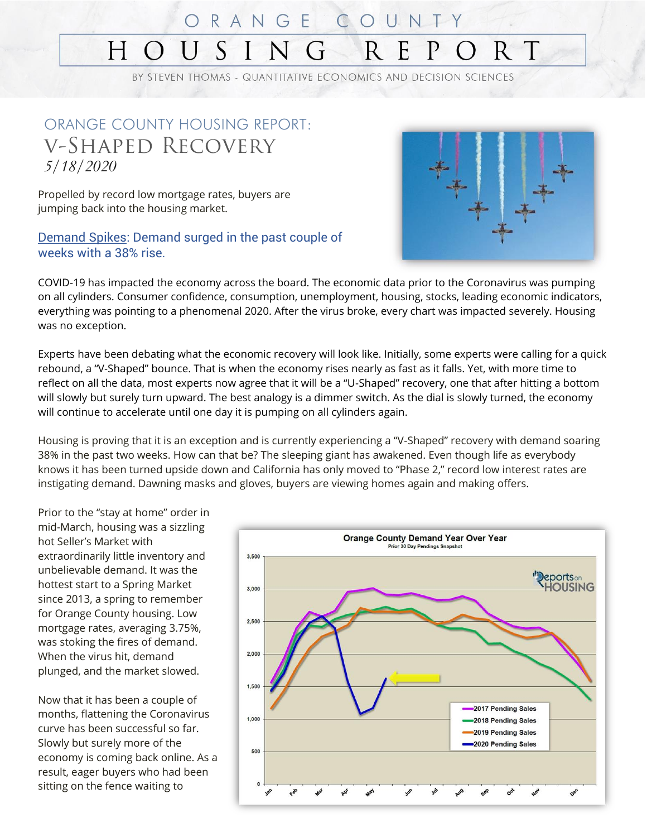#### ORANGEC SING  $R$ E  $R$  T H  $\bigodot$

BY STEVEN THOMAS - QUANTITATIVE ECONOMICS AND DECISION SCIENCES

#### ORANGE COUNTY HOUSING REPORT: v-Shaped Recovery *5/18/2020*

Propelled by record low mortgage rates, buyers are jumping back into the housing market.

#### Demand Spikes: Demand surged in the past couple of weeks with a 38% rise.



COVID-19 has impacted the economy across the board. The economic data prior to the Coronavirus was pumping on all cylinders. Consumer confidence, consumption, unemployment, housing, stocks, leading economic indicators, everything was pointing to a phenomenal 2020. After the virus broke, every chart was impacted severely. Housing was no exception.

Experts have been debating what the economic recovery will look like. Initially, some experts were calling for a quick rebound, a "V-Shaped" bounce. That is when the economy rises nearly as fast as it falls. Yet, with more time to reflect on all the data, most experts now agree that it will be a "U-Shaped" recovery, one that after hitting a bottom will slowly but surely turn upward. The best analogy is a dimmer switch. As the dial is slowly turned, the economy will continue to accelerate until one day it is pumping on all cylinders again.

Housing is proving that it is an exception and is currently experiencing a "V-Shaped" recovery with demand soaring 38% in the past two weeks. How can that be? The sleeping giant has awakened. Even though life as everybody knows it has been turned upside down and California has only moved to "Phase 2," record low interest rates are instigating demand. Dawning masks and gloves, buyers are viewing homes again and making offers.

Prior to the "stay at home" order in mid-March, housing was a sizzling hot Seller's Market with extraordinarily little inventory and unbelievable demand. It was the hottest start to a Spring Market since 2013, a spring to remember for Orange County housing. Low mortgage rates, averaging 3.75%, was stoking the fires of demand. When the virus hit, demand plunged, and the market slowed.

Now that it has been a couple of months, flattening the Coronavirus curve has been successful so far. Slowly but surely more of the economy is coming back online. As a result, eager buyers who had been sitting on the fence waiting to

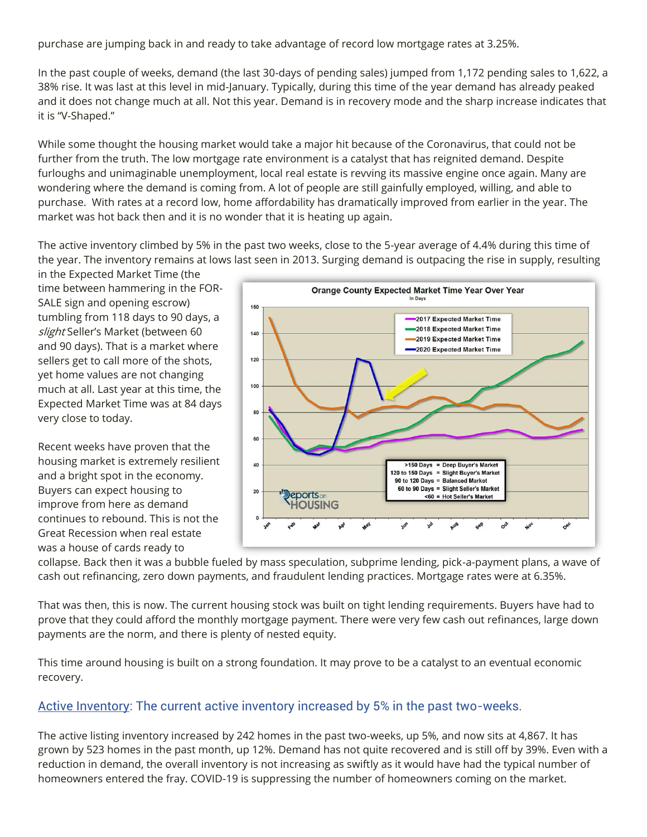purchase are jumping back in and ready to take advantage of record low mortgage rates at 3.25%.

In the past couple of weeks, demand (the last 30-days of pending sales) jumped from 1,172 pending sales to 1,622, a 38% rise. It was last at this level in mid-January. Typically, during this time of the year demand has already peaked and it does not change much at all. Not this year. Demand is in recovery mode and the sharp increase indicates that it is "V-Shaped."

While some thought the housing market would take a major hit because of the Coronavirus, that could not be further from the truth. The low mortgage rate environment is a catalyst that has reignited demand. Despite furloughs and unimaginable unemployment, local real estate is revving its massive engine once again. Many are wondering where the demand is coming from. A lot of people are still gainfully employed, willing, and able to purchase. With rates at a record low, home affordability has dramatically improved from earlier in the year. The market was hot back then and it is no wonder that it is heating up again.

The active inventory climbed by 5% in the past two weeks, close to the 5-year average of 4.4% during this time of the year. The inventory remains at lows last seen in 2013. Surging demand is outpacing the rise in supply, resulting

in the Expected Market Time (the time between hammering in the FOR-SALE sign and opening escrow) tumbling from 118 days to 90 days, a slight Seller's Market (between 60 and 90 days). That is a market where sellers get to call more of the shots, yet home values are not changing much at all. Last year at this time, the Expected Market Time was at 84 days very close to today.

Recent weeks have proven that the housing market is extremely resilient and a bright spot in the economy. Buyers can expect housing to improve from here as demand continues to rebound. This is not the Great Recession when real estate was a house of cards ready to



collapse. Back then it was a bubble fueled by mass speculation, subprime lending, pick-a-payment plans, a wave of cash out refinancing, zero down payments, and fraudulent lending practices. Mortgage rates were at 6.35%.

That was then, this is now. The current housing stock was built on tight lending requirements. Buyers have had to prove that they could afford the monthly mortgage payment. There were very few cash out refinances, large down payments are the norm, and there is plenty of nested equity.

This time around housing is built on a strong foundation. It may prove to be a catalyst to an eventual economic recovery.

#### Active Inventory: The current active inventory increased by 5% in the past two-weeks.

The active listing inventory increased by 242 homes in the past two-weeks, up 5%, and now sits at 4,867. It has grown by 523 homes in the past month, up 12%. Demand has not quite recovered and is still off by 39%. Even with a reduction in demand, the overall inventory is not increasing as swiftly as it would have had the typical number of homeowners entered the fray. COVID-19 is suppressing the number of homeowners coming on the market.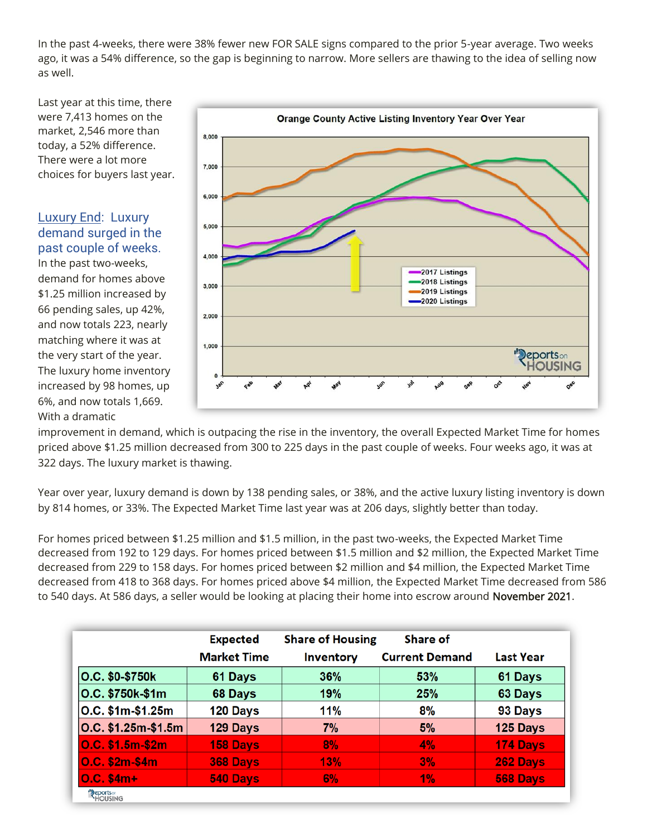In the past 4-weeks, there were 38% fewer new FOR SALE signs compared to the prior 5-year average. Two weeks ago, it was a 54% difference, so the gap is beginning to narrow. More sellers are thawing to the idea of selling now as well.

Last year at this time, there were 7,413 homes on the market, 2,546 more than today, a 52% difference. There were a lot more choices for buyers last year.

Luxury End: Luxury demand surged in the past couple of weeks.

In the past two-weeks, demand for homes above \$1.25 million increased by 66 pending sales, up 42%, and now totals 223, nearly matching where it was at the very start of the year. The luxury home inventory increased by 98 homes, up 6%, and now totals 1,669. With a dramatic



improvement in demand, which is outpacing the rise in the inventory, the overall Expected Market Time for homes priced above \$1.25 million decreased from 300 to 225 days in the past couple of weeks. Four weeks ago, it was at 322 days. The luxury market is thawing.

Year over year, luxury demand is down by 138 pending sales, or 38%, and the active luxury listing inventory is down by 814 homes, or 33%. The Expected Market Time last year was at 206 days, slightly better than today.

For homes priced between \$1.25 million and \$1.5 million, in the past two-weeks, the Expected Market Time decreased from 192 to 129 days. For homes priced between \$1.5 million and \$2 million, the Expected Market Time decreased from 229 to 158 days. For homes priced between \$2 million and \$4 million, the Expected Market Time decreased from 418 to 368 days. For homes priced above \$4 million, the Expected Market Time decreased from 586 to 540 days. At 586 days, a seller would be looking at placing their home into escrow around November 2021.

|                                         | <b>Expected</b><br><b>Market Time</b> | <b>Share of Housing</b><br><b>Inventory</b> | Share of<br><b>Current Demand</b> | <b>Last Year</b> |
|-----------------------------------------|---------------------------------------|---------------------------------------------|-----------------------------------|------------------|
| O.C. \$0-\$750k                         | 61 Days                               | 36%                                         | 53%                               | 61 Days          |
| O.C. \$750k-\$1m                        | 68 Days                               | 19%                                         | 25%                               | 63 Days          |
| O.C. \$1m-\$1.25m                       | 120 Days                              | 11%                                         | 8%                                | 93 Days          |
| O.C. \$1.25m-\$1.5m                     | 129 Days                              | 7%                                          | 5%                                | 125 Days         |
| O.C. \$1.5m-\$2m                        | 158 Days                              | 8%                                          | 4%                                | 174 Days         |
| <b>O.C. \$2m-\$4m</b>                   | 368 Days                              | 13%                                         | 3%                                | 262 Days         |
| $O.C. $4m+$                             | 540 Days                              | 6%                                          | 1%                                | 568 Days         |
| <b>Reports</b> <sub>on</sub><br>HOUSING |                                       |                                             |                                   |                  |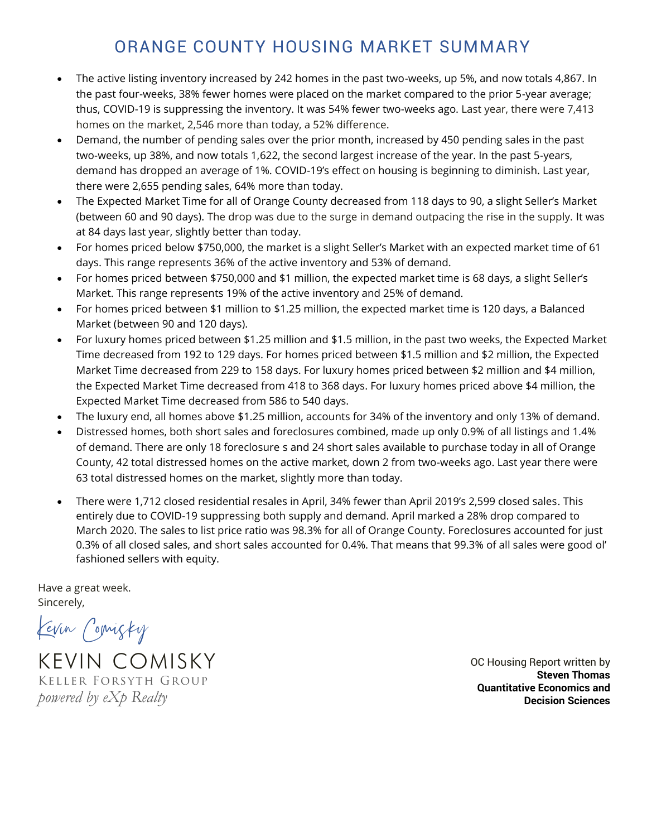### ORANGE COUNTY HOUSING MARKET SUMMARY

- The active listing inventory increased by 242 homes in the past two-weeks, up 5%, and now totals 4,867. In the past four-weeks, 38% fewer homes were placed on the market compared to the prior 5-year average; thus, COVID-19 is suppressing the inventory. It was 54% fewer two-weeks ago. Last year, there were 7,413 homes on the market, 2,546 more than today, a 52% difference.
- Demand, the number of pending sales over the prior month, increased by 450 pending sales in the past two-weeks, up 38%, and now totals 1,622, the second largest increase of the year. In the past 5-years, demand has dropped an average of 1%. COVID-19's effect on housing is beginning to diminish. Last year, there were 2,655 pending sales, 64% more than today.
- The Expected Market Time for all of Orange County decreased from 118 days to 90, a slight Seller's Market (between 60 and 90 days). The drop was due to the surge in demand outpacing the rise in the supply. It was at 84 days last year, slightly better than today.
- For homes priced below \$750,000, the market is a slight Seller's Market with an expected market time of 61 days. This range represents 36% of the active inventory and 53% of demand.
- For homes priced between \$750,000 and \$1 million, the expected market time is 68 days, a slight Seller's Market. This range represents 19% of the active inventory and 25% of demand.
- For homes priced between \$1 million to \$1.25 million, the expected market time is 120 days, a Balanced Market (between 90 and 120 days).
- For luxury homes priced between \$1.25 million and \$1.5 million, in the past two weeks, the Expected Market Time decreased from 192 to 129 days. For homes priced between \$1.5 million and \$2 million, the Expected Market Time decreased from 229 to 158 days. For luxury homes priced between \$2 million and \$4 million, the Expected Market Time decreased from 418 to 368 days. For luxury homes priced above \$4 million, the Expected Market Time decreased from 586 to 540 days.
- The luxury end, all homes above \$1.25 million, accounts for 34% of the inventory and only 13% of demand.
- Distressed homes, both short sales and foreclosures combined, made up only 0.9% of all listings and 1.4% of demand. There are only 18 foreclosure s and 24 short sales available to purchase today in all of Orange County, 42 total distressed homes on the active market, down 2 from two-weeks ago. Last year there were 63 total distressed homes on the market, slightly more than today.
- There were 1,712 closed residential resales in April, 34% fewer than April 2019's 2,599 closed sales. This entirely due to COVID-19 suppressing both supply and demand. April marked a 28% drop compared to March 2020. The sales to list price ratio was 98.3% for all of Orange County. Foreclosures accounted for just 0.3% of all closed sales, and short sales accounted for 0.4%. That means that 99.3% of all sales were good ol' fashioned sellers with equity.

Have a great week. Sincerely,

Kevin Comisky

KEVIN COMISKY Keller Forsyth Group *powered by eXp Realty*

OC Housing Report written by **Steven Thomas Quantitative Economics and Decision Sciences**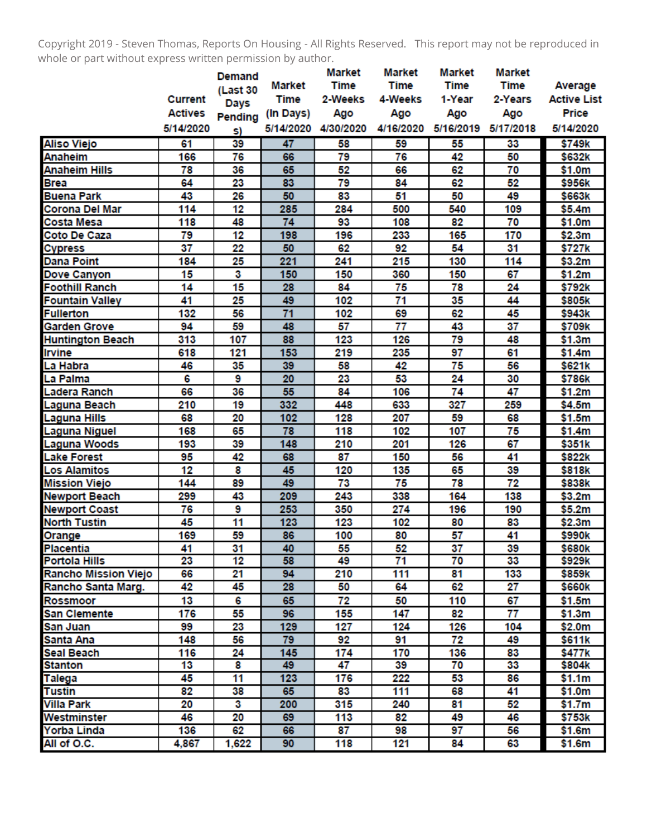Copyright 2019 - Steven Thomas, Reports On Housing - All Rights Reserved. This report may not be reproduced in whole or part without express written permission by author.

|                             |                | Demand   |                 | <b>Market</b> | <b>Market</b>   | <b>Market</b> | <b>Market</b> |                    |
|-----------------------------|----------------|----------|-----------------|---------------|-----------------|---------------|---------------|--------------------|
|                             |                | (Last 30 | <b>Market</b>   | <b>Time</b>   | <b>Time</b>     | <b>Time</b>   | <b>Time</b>   | Average            |
|                             | <b>Current</b> | Days     | <b>Time</b>     | 2-Weeks       | 4-Weeks         | 1-Year        | 2-Years       | <b>Active List</b> |
|                             | <b>Actives</b> | Pending  | (In Days)       | Ago           | Ago             | Ago           | Ago           | Price              |
|                             | 5/14/2020      | s)       | 5/14/2020       | 4/30/2020     | 4/16/2020       | 5/16/2019     | 5/17/2018     | 5/14/2020          |
| <b>Aliso Viejo</b>          | 61             | 39       | 47              | 58            | 59              | 55            | 33            | \$749k             |
| <b>Anaheim</b>              | 166            | 76       | 66              | 79            | 76              | 42            | 50            | \$632k             |
| <b>Anaheim Hills</b>        | 78             | 36       | 65              | 52            | 66              | 62            | 70            | \$1.0m             |
| <b>Brea</b>                 | 64             | 23       | 83              | 79            | 84              | 62            | 52            | \$956k             |
| <b>Buena Park</b>           | 43             | 26       | 50              | 83            | 51              | 50            | 49            | \$663k             |
| Corona Del Mar              | 114            | 12       | 285             | 284           | 500             | 540           | 109           | \$5.4m             |
| Costa Mesa                  | 118            | 48       | 74              | 93            | 108             | 82            | 70            | \$1.0m             |
| Coto De Caza                | 79             | 12       | 198             | 196           | 233             | 165           | 170           | \$2.3m             |
| <b>Cypress</b>              | 37             | 22       | 50              | 62            | 92              | 54            | 31            | \$727k             |
| <b>Dana Point</b>           | 184            | 25       | 221             | 241           | 215             | 130           | 114           | \$3.2m             |
| Dove Canyon                 | 15             | 3        | 150             | 150           | 360             | 150           | 67            | \$1.2m             |
| <b>Foothill Ranch</b>       | 14             | 15       | 28              | 84            | 75              | 78            | 24            | \$792k             |
| <b>Fountain Valley</b>      | 41             | 25       | 49              | 102           | 71              | 35            | 44            | \$805k             |
| <b>Fullerton</b>            | 132            | 56       | $\overline{71}$ | 102           | 69              | 62            | 45            | \$943k             |
| <b>Garden Grove</b>         | 94             | 59       | 48              | 57            | 77              | 43            | 37            | \$709k             |
| <b>Huntington Beach</b>     | 313            | 107      | 88              | 123           | 126             | 79            | 48            | \$1.3m             |
| <b>Irvine</b>               | 618            | 121      | 153             | 219           | 235             | 97            | 61            | \$1.4m             |
| La Habra                    | 46             | 35       | 39              | 58            | 42              | 75            | 56            | \$621k             |
| La Palma                    | 6              | 9        | 20              | 23            | 53              | 24            | 30            | \$786k             |
| Ladera Ranch                | 66             | 36       | 55              | 84            | 106             | 74            | 47            | \$1.2m             |
| Laguna Beach                | 210            | 19       | 332             | 448           | 633             | 327           | 259           | \$4.5m             |
| <b>Laguna Hills</b>         | 68             | 20       | 102             | 128           | 207             | 59            | 68            | \$1.5m             |
| Laguna Niguel               | 168            | 65       | 78              | 118           | 102             | 107           | 75            | \$1.4m             |
| Laguna Woods                | 193            | 39       | 148             | 210           | 201             | 126           | 67            | \$351k             |
| <b>Lake Forest</b>          | 95             | 42       | 68              | 87            | 150             | 56            | 41            | \$822k             |
| <b>Los Alamitos</b>         | 12             | 8        | 45              | 120           | 135             | 65            | 39            | \$818k             |
| <b>Mission Viejo</b>        | 144            | 89       | 49              | 73            | 75              | 78            | 72            | \$838k             |
| <b>Newport Beach</b>        | 299            | 43       | 209             | 243           | 338             | 164           | 138           | \$3.2m             |
| <b>Newport Coast</b>        | 76             | 9        | 253             | 350           | 274             | 196           | 190           | \$5.2m             |
| <b>North Tustin</b>         | 45             | 11       | 123             | 123           | 102             | 80            | 83            | \$2.3m             |
| Orange                      | 169            | 59       | 86              | 100           | 80              | 57            | 41            | \$990k             |
| <b>Placentia</b>            | 41             | 31       | 40              | 55            | 52              | 37            | 39            | \$680k             |
| <b>Portola Hills</b>        | 23             | 12       | 58              | 49            | $\overline{71}$ | 70            | 33            | \$929k             |
| <b>Rancho Mission Viejo</b> | 66             | 21       | 94              | 210           | 111             | 81            | 133           | \$859k             |
| Rancho Santa Marg.          | 42             | 45       | 28              | 50            | 64              | 62            | 27            | \$660k             |
| Rossmoor                    | 13             | 6        | 65              | 72            | 50              | 110           | 67            | \$1.5m             |
| <b>San Clemente</b>         | 176            | 55       | 96              | 155           | 147             | 82            | 77            | \$1.3m             |
| San Juan                    | 99             | 23       | 129             | 127           | 124             | 126           | 104           | \$2.0m             |
| Santa Ana                   | 148            | 56       | 79              | 92            | 91              | 72            | 49            | \$611k             |
| <b>Seal Beach</b>           | 116            | 24       | 145             | 174           | 170             | 136           | 83            | \$477k             |
| <b>Stanton</b>              | 13             | 8        | 49              | 47            | 39              | 70            | 33            | \$804k             |
| Talega                      | 45             | 11       | 123             | 176           | 222             | 53            | 86            | \$1.1m             |
| <b>Tustin</b>               | 82             | 38       | 65              | 83            | 111             | 68            | 41            | \$1.0m             |
| Villa Park                  | 20             | 3        | 200             | 315           | 240             | 81            | 52            | \$1.7m             |
| Westminster                 | 46             | 20       | 69              | 113           | 82              | 49            | 46            | \$753k             |
| Yorba Linda                 | 136            | 62       | 66              | 87            | 98              | 97            | 56            | \$1.6m             |
| All of O.C.                 | 4,867          | 1,622    | 90              | 118           | 121             | 84            | 63            | \$1.6m             |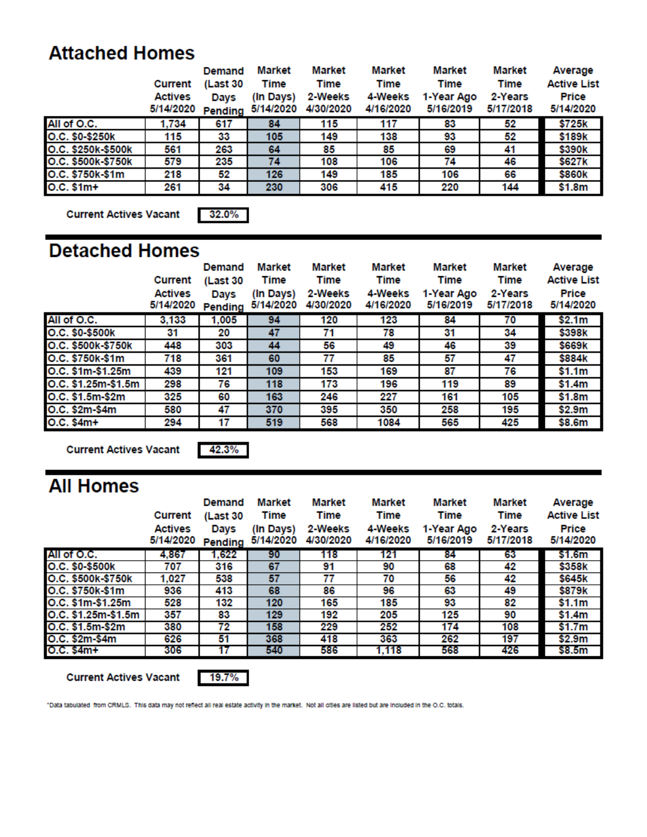# **Attached Homes**

|                    | Current<br><b>Actives</b><br>5/14/2020 | Demand<br>(Last 30<br>Davs<br>Pending | Market<br>Time<br>(In Days)<br>5/14/2020 | Market<br>Time<br>2-Weeks<br>4/30/2020 | <b>Market</b><br>Time<br>4-Weeks<br>4/16/2020 | Market<br>Time<br>1-Year Ago<br>5/16/2019 | Market<br><b>Time</b><br>2-Years<br>5/17/2018 | Average<br><b>Active List</b><br>Price<br>5/14/2020 |
|--------------------|----------------------------------------|---------------------------------------|------------------------------------------|----------------------------------------|-----------------------------------------------|-------------------------------------------|-----------------------------------------------|-----------------------------------------------------|
| All of O.C.        | 1.734                                  | 617                                   | 84                                       | 115                                    | 117                                           | 83                                        | 52                                            | \$725k                                              |
| O.C. \$0-\$250k    | 115                                    | 33                                    | 105                                      | 149                                    | 138                                           | 93                                        | 52                                            | \$189k                                              |
| O.C. \$250k-\$500k | 561                                    | 263                                   | 64                                       | 85                                     | 85                                            | 69                                        | 41                                            | \$390k                                              |
| O.C. \$500k-\$750k | 579                                    | 235                                   | 74                                       | 108                                    | 106                                           | 74                                        | 46                                            | \$627k                                              |
| O.C. \$750k-\$1m   | 218                                    | 52                                    | 126                                      | 149                                    | 185                                           | 106                                       | 66                                            | \$860k                                              |
| $O.C. $1m+$        | 261                                    | 34                                    | 230                                      | 306                                    | 415                                           | 220                                       | 144                                           | \$1.8m                                              |

**Current Actives Vacant** 

32.0%

## **Detached Homes**

|                     | Current<br><b>Actives</b><br>5/14/2020 | Demand<br>(Last 30<br>Days<br>Pending | <b>Market</b><br>Time<br>(In Days)<br>5/14/2020 | Market<br>Time<br>2-Weeks<br>4/30/2020 | Market<br>Time<br>4-Weeks<br>4/16/2020 | Market<br><b>Time</b><br>1-Year Ago<br>5/16/2019 | <b>Market</b><br><b>Time</b><br>2-Years<br>5/17/2018 | Average<br><b>Active List</b><br>Price<br>5/14/2020 |
|---------------------|----------------------------------------|---------------------------------------|-------------------------------------------------|----------------------------------------|----------------------------------------|--------------------------------------------------|------------------------------------------------------|-----------------------------------------------------|
| All of O.C.         | 3,133                                  | 1,005                                 | 94                                              | 120                                    | 123                                    | 84                                               | 70                                                   | \$2.1m                                              |
| O.C. \$0-\$500k     | 31                                     | 20                                    | 47                                              | 71                                     | 78                                     | 31                                               | 34                                                   | \$398k                                              |
| O.C. \$500k-\$750k  | 448                                    | 303                                   | 44                                              | 56                                     | 49                                     | 46                                               | 39                                                   | \$669k                                              |
| O.C. \$750k-\$1m    | 718                                    | 361                                   | 60                                              | 77                                     | 85                                     | 57                                               | 47                                                   | \$884k                                              |
| O.C. \$1m-\$1.25m   | 439                                    | 121                                   | 109                                             | 153                                    | 169                                    | 87                                               | 76                                                   | \$1.1m                                              |
| O.C. \$1.25m-\$1.5m | 298                                    | 76                                    | 118                                             | 173                                    | 196                                    | 119                                              | 89                                                   | \$1.4m                                              |
| O.C. \$1.5m-\$2m    | 325                                    | 60                                    | 163                                             | 246                                    | 227                                    | 161                                              | 105                                                  | \$1.8m                                              |
| O.C. \$2m-\$4m      | 580                                    | 47                                    | 370                                             | 395                                    | 350                                    | 258                                              | 195                                                  | \$2.9m                                              |
| O.C. \$4m+          | 294                                    | 17                                    | 519                                             | 568                                    | 1084                                   | 565                                              | 425                                                  | \$8.6m                                              |

**Current Actives Vacant** 

42.3%

# **All Homes**

|                     | <b>Current</b>              | <b>Demand</b><br>(Last 30 | Market<br><b>Time</b>  | Market<br>Time       | <b>Market</b><br>Time | Market<br>Time          | Market<br><b>Time</b> | Average<br><b>Active List</b> |
|---------------------|-----------------------------|---------------------------|------------------------|----------------------|-----------------------|-------------------------|-----------------------|-------------------------------|
|                     | <b>Actives</b><br>5/14/2020 | Days<br>Pending           | (In Days)<br>5/14/2020 | 2-Weeks<br>4/30/2020 | 4-Weeks<br>4/16/2020  | 1-Year Ago<br>5/16/2019 | 2-Years<br>5/17/2018  | Price<br>5/14/2020            |
| All of O.C.         | 4,867                       | 1,622                     | 90                     | 118                  | 121                   | 84                      | 63                    | \$1.6m                        |
| O.C. \$0-\$500k     | 707                         | 316                       | 67                     | 91                   | 90                    | 68                      | 42                    | \$358k                        |
| O.C. \$500k-\$750k  | 1.027                       | 538                       | 57                     | 77                   | 70                    | 56                      | 42                    | \$645k                        |
| O.C. \$750k-\$1m    | 936                         | 413                       | 68                     | 86                   | 96                    | 63                      | 49                    | \$879k                        |
| O.C. \$1m-\$1.25m   | 528                         | 132                       | 120                    | 165                  | 185                   | 93                      | 82                    | \$1.1m                        |
| O.C. \$1.25m-\$1.5m | 357                         | 83                        | 129                    | 192                  | 205                   | 125                     | 90                    | \$1.4m                        |
| O.C. \$1.5m-\$2m    | 380                         | 72                        | 158                    | 229                  | 252                   | 174                     | 108                   | \$1.7m                        |
| O.C. \$2m-\$4m      | 626                         | 51                        | 368                    | 418                  | 363                   | 262                     | 197                   | \$2.9m                        |
| O.C. \$4m+          | 306                         |                           | 540                    | 586                  | 1.118                 | 568                     | 426                   | \$8.5m                        |

**Current Actives Vacant** 



"Data tabulated from CRMLS. This data may not reflect all real estate activity in the market. Not all cities are listed but are included in the O.C. totals.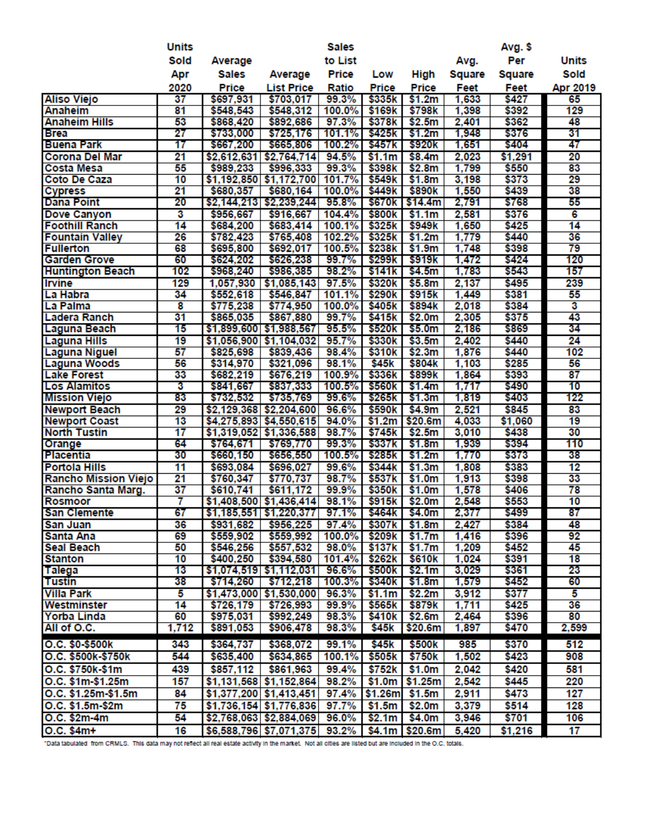|                             | <b>Units</b>    |             |                                           | <b>Sales</b> |                    |                    |        | Avg. \$ |              |
|-----------------------------|-----------------|-------------|-------------------------------------------|--------------|--------------------|--------------------|--------|---------|--------------|
|                             | Sold            | Average     |                                           | to List      |                    |                    | Avg.   | Per     | <b>Units</b> |
|                             | Apr             | Sales       | Average                                   | Price        | Low                | High               | Square | Square  | Sold         |
|                             | 2020            | Price       | <b>List Price</b>                         | Ratio        | Price              | Price              | Feet   | Feet    | Apr 2019     |
| <b>Aliso Viejo</b>          | 37              | \$697,931   | \$703,017                                 | 99.3%        | \$335k             | \$1.2m             | 1,633  | \$427   | 65           |
| Anaheim                     | 81              | \$548,543   | \$548,312                                 | 100.0%       | \$169k             | \$798k             | 1,398  | \$392   | 129          |
| <b>Anaheim Hills</b>        | 53              | \$868,420   | \$892,686                                 | 97.3%        | \$378k             | \$2.5m             | 2,401  | \$362   | 48           |
| <b>Brea</b>                 | 27              | \$733,000   | \$725,176                                 | 101.1%       | \$425k             | \$1.2m             | 1,948  | \$376   | 31           |
| <b>Buena Park</b>           | 17              | \$667,200   | \$665,806                                 | 100.2%       | \$457k             | \$920k             | 1,651  | \$404   | 47           |
| <b>Corona Del Mar</b>       | 21              | \$2,612,631 | \$2,764,714                               | 94.5%        | \$1.1m             | \$8.4m             | 2,023  | \$1,291 | 20           |
| <b>Costa Mesa</b>           | 55              | \$989,233   | \$996,333                                 | 99.3%        | \$398k             | \$2.8m             | 1,799  | \$550   | 83           |
| Coto De Caza                | 10              |             | \$1,192,850 \$1,172,700                   | 101.7%       | \$549k             | \$1.8m             | 3,198  | \$373   | 29           |
| <b>Cypress</b>              | 21              | \$680,357   | \$680,164                                 | 100.0%       | \$449k             | \$890k             | 1,550  | \$439   | 38           |
| <b>Dana Point</b>           | 20              |             | \$2,144,213 \$2,239,244                   | 95.8%        | \$670k             | \$14.4m            | 2,791  | \$768   | 55           |
| Dove Canyon                 | 3               | \$956,667   | \$916,667                                 | 104.4%       | \$800k             | \$1.1m             | 2,581  | \$376   | 6            |
| <b>Foothill Ranch</b>       | 14              | \$684,200   | \$683,414                                 | 100.1%       | \$325k             | \$949k             | 1,650  | \$425   | 14           |
| <b>Fountain Valley</b>      | 26              | \$782,423   | \$765,408                                 | 102.2%       | \$325k             | \$1.2m             | 1,779  | \$440   | 36           |
| <b>Fullerton</b>            | 68              | \$695,800   | \$692,017                                 | 100.5%       | \$238k             | \$1.9m             | 1,748  | \$398   | 79           |
| <b>Garden Grove</b>         | 60              | \$624,202   | \$626,238                                 | 99.7%        | \$299k             | \$919k             | 1,472  | \$424   | 120          |
| <b>Huntington Beach</b>     | 102             | \$968,240   | \$986,385                                 | 98.2%        | \$141k             | \$4.5m             | 1,783  | \$543   | 157          |
| <b>Irvine</b>               | 129             | 1,057,930   | \$1,085,143                               | 97.5%        | \$320 <sub>k</sub> | \$5.8m             | 2,137  | \$495   | 239          |
| La Habra                    | 34              | \$552,618   | \$546,847                                 | 101.1%       | \$290 <sub>k</sub> | \$915k             | 1,449  | \$381   | 55           |
| La Palma                    | 8               | \$775,238   | \$774,950                                 | 100.0%       | \$405k             | \$894k             | 2,018  | \$384   | 3            |
| <b>Ladera Ranch</b>         | 31              | \$865,035   | \$867,880                                 | 99.7%        | \$415k             | \$2.0m             | 2,305  | \$375   | 43           |
| Laguna Beach                | 15              |             | \$1,899,600 \$1,988,567                   | 95.5%        | \$520k             | \$5.0m             | 2,186  | \$869   | 34           |
| <b>Laguna Hills</b>         | 19              |             | \$1,056,900 \$1,104,032                   | 95.7%        | \$330k             | \$3.5m             | 2,402  | \$440   | 24           |
| <b>Laguna Niguel</b>        | 57              | \$825,698   | \$839,436                                 | 98.4%        | \$310 <sub>k</sub> | \$2.3m             | 1,876  | \$440   | 102          |
| <b>Laguna Woods</b>         | 56              | \$314,970   | \$321,096                                 | 98.1%        | \$45k              | \$804k             | 1,103  | \$285   | 56           |
| <b>Lake Forest</b>          | 33              | \$682,219   | \$676,219                                 | 100.9%       | \$336k             | \$899k             | 1,864  | \$393   | 87           |
| <b>Los Alamitos</b>         | 3               | \$841,667   | \$837,333                                 | 100.5%       | \$560k             | \$1.4m             | 1,717  | \$490   | 10           |
| <b>Mission Viejo</b>        | 83              | \$732,532   | \$735,769                                 | 99.6%        | \$265k             | \$1.3m             | 1,819  | \$403   | 122          |
| <b>Newport Beach</b>        | 29              | \$2,129,368 | \$2,204,600                               | 96.6%        | \$590k             | \$4.9m             | 2,521  | \$845   | 83           |
| <b>Newport Coast</b>        | $\overline{13}$ |             | \$4,275,893 \$4,550,615                   | 94.0%        | \$1.2m             | \$20.6m            | 4,033  | \$1,060 | 19           |
| <b>North Tustin</b>         | 17              |             | $$1,319,052$ $$1,336,588$                 | 98.7%        | \$745k             | \$2.5m             | 3,010  | \$438   | 30           |
| Orange                      | 64              | \$764,671   | \$769,770                                 | 99.3%        | \$337k             | \$1.8m             | 1,939  | \$394   | 110          |
| <b>Placentia</b>            | 30              | \$660,150   | \$656,550                                 | 100.5%       | \$285k             | \$1.2m             | 1,770  | \$373   | 38           |
| <b>Portola Hills</b>        | 11              | \$693,084   | \$696,027                                 | 99.6%        | \$344k             | \$1.3m             | 1,808  | \$383   | 12           |
| <b>Rancho Mission Viejo</b> | 21              | \$760,347   | \$770,737                                 | 98.7%        | \$537k             | \$1.0m             | 1,913  | \$398   | 33           |
| Rancho Santa Marg.          | $\overline{37}$ | \$610,741   | \$611,172                                 | 99.9%        | \$350 <sub>k</sub> | \$1.0m             | 1,578  | \$406   | 78           |
| <b>Rosmoor</b>              | 7               |             | $$1,408,500$ $$1,436,414$                 | 98.1%        | \$915k             | \$2.0m             | 2,548  | \$553   | 10           |
| <b>San Clemente</b>         | 67              |             | \$1,185,551 \$1,220,377 97.1% S464k S4.0m |              |                    |                    | 2.377  | \$499   | 87           |
| San Juan                    | 36              | \$931,682   | \$956,225                                 | 97.4%        | \$307k             | \$1.8m             | 2,427  | \$384   | 48           |
| Santa Ana                   | 69              | \$559,902   | \$559,992                                 | 100.0%       | \$209k             | \$1.7m             | 1,416  | \$396   | 92           |
| <b>Seal Beach</b>           | 50              | \$546,256   | \$557,532                                 | 98.0%        | \$137k             | \$1.7m             | 1,209  | \$452   | 45           |
| <b>Stanton</b>              | 10              | \$400,250   | \$394,580                                 | 101.4%       | \$262k             | \$610k             | 1,024  | \$391   | 18           |
| <b>Talega</b>               | 13              |             | $$1,074,519$ $$1,112,031$                 | 96.6%        | \$500k             | \$2.1m             | 3,029  | \$361   | 23           |
| <b>Tustin</b>               | 38              | \$714,260   | \$712,218                                 | 100.3%       | \$340k             | \$1.8m             | 1,579  | \$452   | 60           |
| <b>Villa Park</b>           | 5               |             | \$1,473,000 \$1,530,000                   | 96.3%        | \$1.1m             | \$2.2m             | 3,912  | \$377   | 5            |
| Westminster                 | 14              | \$726,179   | \$726,993                                 | 99.9%        | \$565k             | \$879k             | 1,711  | \$425   | 36           |
| <b>Yorba Linda</b>          | 60              | \$975,031   | \$992,249                                 | 98.3%        | \$410 <sub>k</sub> | \$2.6m             | 2,464  | \$396   | 80           |
| All of O.C.                 | 1,712           | \$891,053   | \$906,478                                 | 98.3%        | \$45k              | \$20.6m            | 1,897  | \$470   | 2,599        |
| O.C. \$0-\$500K             | 343             | \$364,737   | \$368,072                                 | 99.1%        | \$45 <sub>k</sub>  | \$500 <sub>k</sub> | 985    | \$370   | 512          |
|                             | 544             |             |                                           |              |                    | \$750k             | 1,502  | \$423   | 908          |
| O.C. \$500k-\$750k          |                 | \$635,400   | \$634,865                                 | 100.1%       | \$505k             |                    |        |         |              |
| O.C. \$750k-\$1m            | 439             | \$857,112   | \$861,963                                 | 99.4%        | \$752k             | \$1.0m             | 2,042  | \$420   | 581          |
| O.C. \$1m-\$1.25m           | 157             |             | \$1,131,568 \$1,152,864                   | 98.2%        | \$1.0m             | \$1.25m            | 2,542  | \$445   | 220          |
| O.C. \$1.25m-\$1.5m         | 84              |             | \$1,377,200 \$1,413,451                   | 97.4%        | \$1.26m            | \$1.5m             | 2,911  | \$473   | 127          |
| O.C. \$1.5m-\$2m            | 75              |             | \$1,736,154 \$1,776,836                   | 97.7%        | \$1.5m             | \$2.0m             | 3,379  | \$514   | 128          |
| O.C. \$2m-4m                | 54              |             | \$2,768,063 \$2,884,069                   | 96.0%        | \$2.1m             | \$4.0m             | 3,946  | \$701   | 106          |
| O.C. \$4m+                  | 16              |             | \$6,588,796 \$7,071,375                   | 93.2%        |                    | $$4.1m$ $$20.6m$   | 5,420  | \$1,216 | 17           |

\*Data tabulated from CRMLS. This data may not reflect all real estate activity in the market. Not all cities are listed but are included in the O.C. totals.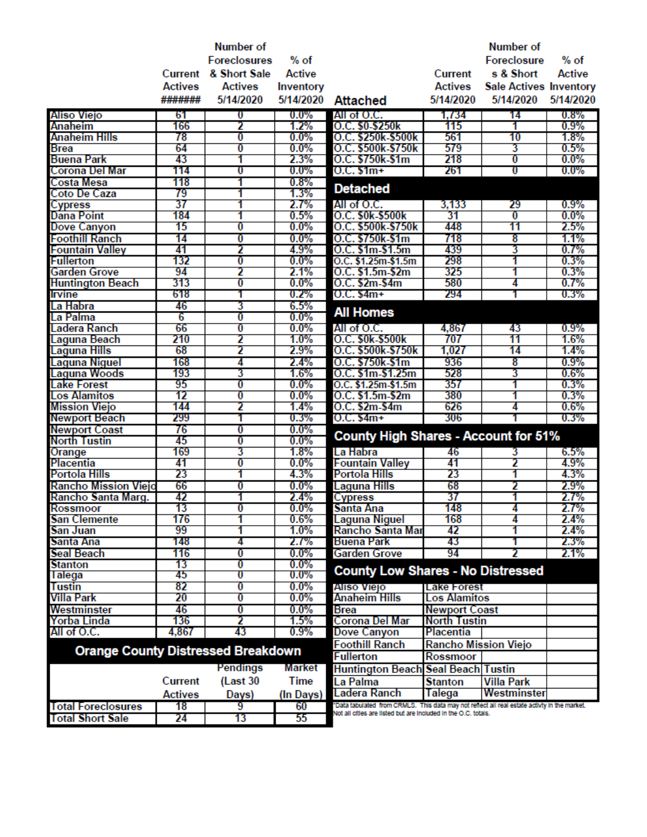|                                           |                | Number of           |                    |                                                                                              |                             | Number of                     |               |
|-------------------------------------------|----------------|---------------------|--------------------|----------------------------------------------------------------------------------------------|-----------------------------|-------------------------------|---------------|
|                                           |                | <b>Foreclosures</b> | $%$ of             |                                                                                              |                             | <b>Foreclosure</b>            | $%$ of        |
|                                           | Current        | & Short Sale        | Active             |                                                                                              | Current                     | s & Short                     | <b>Active</b> |
|                                           | <b>Actives</b> | <b>Actives</b>      | Inventory          |                                                                                              | <b>Actives</b>              | <b>Sale Actives Inventory</b> |               |
|                                           | #######        | 5/14/2020           | 5/14/2020          | <b>Attached</b>                                                                              | 5/14/2020                   | 5/14/2020                     | 5/14/2020     |
|                                           |                |                     |                    |                                                                                              |                             |                               |               |
| Aliso Viejo                               | 61             | U                   | $0.0\%$            | All of O.C.                                                                                  | 1,734                       | 14                            | 0.8%          |
| <b>Anaheim</b>                            | 166            | 2                   | 1.2%               | O.C. \$0-\$250k                                                                              | 115                         | 1                             | 0.9%          |
| <b>Anaheim Hills</b>                      | 78<br>64       | 0                   | $0.0\%$<br>$0.0\%$ | O.C. \$250k-\$500k<br>O.C. \$500k-\$750k                                                     | 561<br>579                  | 10<br>3                       | 1.8%<br>0.5%  |
| <b>Brea</b><br><b>Buena Park</b>          | 43             | 0<br>1              | 2.3%               | O.C. \$750k-\$1m                                                                             | 218                         | O                             | $0.0\%$       |
| Corona Del Mar                            | 114            | U                   | $0.0\%$            | $0.C. $1m+$                                                                                  | 261                         | U                             | $0.0\%$       |
| Costa Mesa                                | 118            |                     | 0.8%               |                                                                                              |                             |                               |               |
| Coto De Caza                              | 79             | 1                   | 1.3%               | <b>Detached</b>                                                                              |                             |                               |               |
| <b>Cypress</b>                            | 37             | 1                   | $2.7\%$            | All of O.C.                                                                                  | 3,133                       | 29                            | 0.9%          |
| <b>Dana Point</b>                         | 184            | 1                   | 0.5%               | O.C. \$0k-\$500k                                                                             | 31                          | $\bf{0}$                      | $0.0\%$       |
| <b>Dove Canyon</b>                        | 15             | 0                   | $0.0\%$            | O.C. \$500k-\$750k                                                                           | 448                         | 11                            | 2.5%          |
| <b>Foothill Ranch</b>                     | 14             | 0                   | $0.0\%$            | O.C. \$750k-\$1m                                                                             | 718                         | 8                             | 1.1%          |
| <b>Fountain Valley</b>                    | 41             | 2                   | 4.9%               | O.C. \$1m-\$1.5m                                                                             | 439                         | 3                             | 0.7%          |
| <b>Fullerton</b>                          | 132            | 0                   | $0.0\%$            | O.C. \$1.25m-\$1.5m                                                                          | 298                         | 1                             | 0.3%          |
| Garden Grove                              | 94             | 2                   | 2.1%               | O.C. \$1.5m-\$2m                                                                             | 325                         | 1                             | 0.3%          |
| <b>Huntington Beach</b>                   | 313            | 0                   | $0.0\%$            | O.C. \$2m-\$4m                                                                               | 580                         | 4                             | 0.7%          |
| Irvine                                    | 618            | 1                   | 0.2%               | $0.C. $4m+$                                                                                  | 294                         | 1                             | 0.3%          |
| La Habra                                  | 46             | 3                   | 6.5%               |                                                                                              |                             |                               |               |
| La Palma                                  | 6              | 0                   | $0.0\%$            | <b>All Homes</b>                                                                             |                             |                               |               |
| Ladera Ranch                              | 66             | 0                   | $0.0\%$            | All of O.C.                                                                                  | 4,867                       | 43                            | 0.9%          |
| Laguna Beach                              | 210            | 2                   | $1.0\%$            | O.C. \$0k-\$500k                                                                             | 707                         | 11                            | 1.6%          |
| Laguna Hills                              | 68             | 2                   | 2.9%               | O.C. \$500k-\$750k                                                                           | 1,027                       | 14                            | 1.4%          |
| Laguna Niguel                             | 168            | 4                   | 2.4%               | O.C. \$750k-\$1m                                                                             | 936                         | 8                             | 0.9%          |
| Laguna Woods                              | 193            | 3                   | 1.6%               | O.C. \$1m-\$1.25m                                                                            | 528                         | 3                             | 0.6%          |
| <b>Lake Forest</b>                        | 95             | 0                   | $0.0\%$            | O.C. \$1.25m-\$1.5m                                                                          | 357                         | 1                             | 0.3%          |
| <b>Los Alamitos</b>                       | 12             | 0                   | $0.0\%$            | O.C. \$1.5m-\$2m                                                                             | 380                         | 1                             | 0.3%          |
| Mission Viejo                             | 144            | 2                   | 1.4%               | O.C. \$2m-\$4m                                                                               | 626                         | 4                             | 0.6%          |
| <b>Newport Beach</b>                      | 299            | 1                   | 0.3%               | $0.C. $4m+$                                                                                  | 306                         |                               | 0.3%          |
| <b>Newport Coast</b>                      | 76             | 0                   | $0.0\%$            |                                                                                              |                             |                               |               |
| <b>North Tustin</b>                       | 45             | 0                   | $0.0\%$            | <b>County High Shares - Account for 51%</b>                                                  |                             |                               |               |
| Orange                                    | 169            | 3                   | 1.8%               | La Habra                                                                                     | 46                          | 3                             | 6.5%          |
| <b>Placentia</b>                          | 41             | 0                   | $0.0\%$            | <b>Fountain Valley</b>                                                                       | 41                          | 2                             | 4.9%          |
| Portola Hills                             | 23             | 1                   | 4.3%               | <b>Portola Hills</b>                                                                         | 23                          | 1                             | 4.3%          |
| <b>Rancho Mission Viejo</b>               | 66             | 0                   | $0.0\%$            | Laguna Hills                                                                                 | 68                          | 2                             | 2.9%          |
| Rancho Santa Marg.                        | 42             | 1                   | 2.4%               | <b>Cypress</b>                                                                               | 37                          | 1                             | 2.7%          |
| Rossmoor                                  | 13             | 0                   | $0.0\%$            | Santa Ana                                                                                    | 148                         | 4                             | 2.7%          |
| <b>San Clemente</b>                       | 176            | 1                   | 0.6%               | Laguna Niguel                                                                                | 168                         | 4                             | 2.4%          |
| San Juan                                  | 99             | 1                   | $1.0\%$            | Rancho Santa Mar                                                                             | 42                          | 1                             | 2.4%          |
| Santa Ana                                 | 148            | 4                   | 2.1%               | <b>Buena Park</b>                                                                            | 43                          | 1                             | $2.3\%$       |
| Seal Beach                                | 116            | 0                   | $0.0\%$            | <b>Garden Grove</b>                                                                          | 94                          |                               | 2.1%          |
| <b>Stanton</b>                            | 13             | 0                   | $0.0\%$            | <b>County Low Shares - No Distressed</b>                                                     |                             |                               |               |
| <b>l</b> alega                            | 45             | U                   | $0.0\%$            |                                                                                              |                             |                               |               |
| <b>Tustin</b>                             | 82             | 0                   | $0.0\%$            | Aliso Viejo                                                                                  | <b>Lake Forest</b>          |                               |               |
| Villa Park                                | 20             | 0                   | $0.0\%$            | <b>Anaheim Hills</b>                                                                         | <b>Los Alamitos</b>         |                               |               |
| Westminster                               | 46             | 0                   | $0.0\%$            | <b>Brea</b>                                                                                  | <b>Newport Coast</b>        |                               |               |
| Yorba Linda                               | 136            | 2                   | 1.5%               | Corona Del Mar                                                                               | <b>North Tustin</b>         |                               |               |
| All of O.C.                               | 4,867          | 43                  | $0.9\%$            | Dove Canyon                                                                                  | Placentia                   |                               |               |
| <b>Orange County Distressed Breakdown</b> |                |                     |                    | <b>Foothill Ranch</b>                                                                        | <b>Rancho Mission Viejo</b> |                               |               |
|                                           |                |                     |                    | <b>Fullerton</b>                                                                             | <b>Rossmoor</b>             |                               |               |
|                                           |                | Pendings            | Market             | Huntington Beach Seal Beach Tustin                                                           |                             |                               |               |
|                                           | <b>Current</b> | (Last 30)           | Time               | La Palma                                                                                     | <b>Stanton</b>              | <b>Villa Park</b>             |               |
|                                           | <b>Actives</b> | Days)               | (In Days)          | Ladera Ranch                                                                                 | Talega                      | Westminster                   |               |
| <b>Total Foreclosures</b>                 | 18             | 9                   | 60                 | "Data tabulated from CRMLS. This data may not reflect all real estate activty in the market. |                             |                               |               |
| <b>Total Short Sale</b>                   | 24             | 13                  | 55                 | Not all offies are listed but are included in the O.C. totals.                               |                             |                               |               |